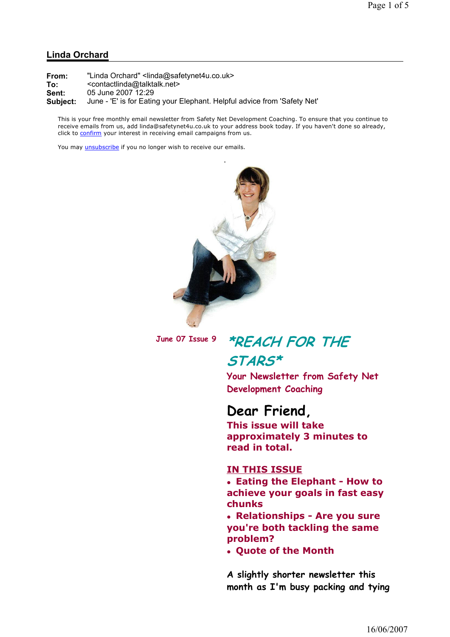#### Linda Orchard

| From:    | "Linda Orchard" <linda@safetynet4u.co.uk></linda@safetynet4u.co.uk>      |
|----------|--------------------------------------------------------------------------|
| To:      | <contactlinda@talktalk.net></contactlinda@talktalk.net>                  |
| Sent:    | 05 June 2007 12:29                                                       |
| Subject: | June - 'E' is for Eating your Elephant. Helpful advice from 'Safety Net' |

This is your free monthly email newsletter from Safety Net Development Coaching. To ensure that you continue to receive emails from us, add linda@safetynet4u.co.uk to your address book today. If you haven't done so already, click to confirm your interest in receiving email campaigns from us.

You may *unsubscribe* if you no longer wish to receive our emails.



# June 07 Issue 9 \*REACH FOR THE STARS\*

Your Newsletter from Safety Net Development Coaching

#### Dear Friend,

This issue will take approximately 3 minutes to read in total.

#### IN THIS ISSUE

 Eating the Elephant - How to achieve your goals in fast easy chunks

 Relationships - Are you sure you're both tackling the same problem?

Quote of the Month

A slightly shorter newsletter this month as I'm busy packing and tying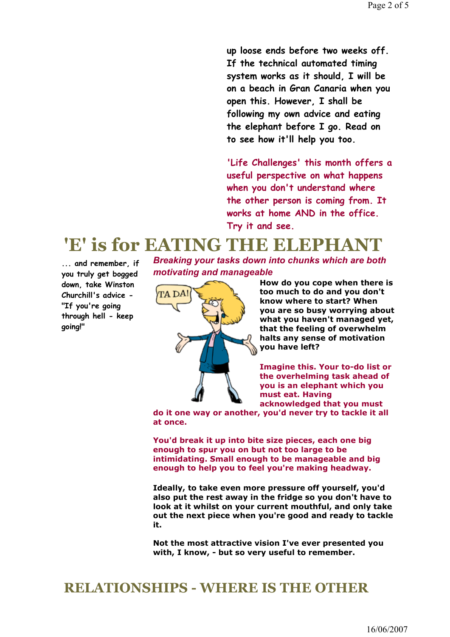up loose ends before two weeks off. If the technical automated timing system works as it should, I will be on a beach in Gran Canaria when you open this. However, I shall be following my own advice and eating the elephant before I go. Read on to see how it'll help you too.

'Life Challenges' this month offers a useful perspective on what happens when you don't understand where the other person is coming from. It works at home AND in the office. Try it and see.

# 'E' is for EATING THE ELEPHAN

Breaking your tasks down into chunks which are both motivating and manageable



How do you cope when there is too much to do and you don't know where to start? When you are so busy worrying about what you haven't managed yet, that the feeling of overwhelm halts any sense of motivation you have left?

Imagine this. Your to-do list or the overhelming task ahead of you is an elephant which you must eat. Having acknowledged that you must

do it one way or another, you'd never try to tackle it all at once.

You'd break it up into bite size pieces, each one big enough to spur you on but not too large to be intimidating. Small enough to be manageable and big enough to help you to feel you're making headway.

Ideally, to take even more pressure off yourself, you'd also put the rest away in the fridge so you don't have to look at it whilst on your current mouthful, and only take out the next piece when you're good and ready to tackle it.

Not the most attractive vision I've ever presented you with, I know, - but so very useful to remember.

## RELATIONSHIPS - WHERE IS THE OTHER

... and remember, if you truly get bogged down, take Winston Churchill's advice - "If you're going through hell - keep going!"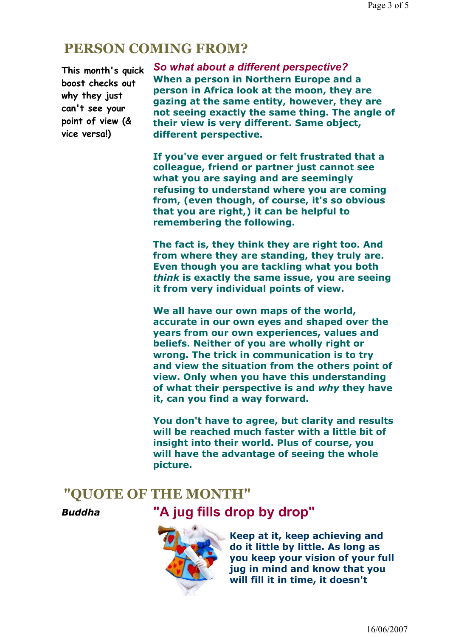#### PERSON COMING FROM?

This month's quick boost checks out why they just can't see your point of view (& vice versa!)

So what about a different perspective? When a person in Northern Europe and a person in Africa look at the moon, they are gazing at the same entity, however, they are not seeing exactly the same thing. The angle of their view is very different. Same object, different perspective.

If you've ever argued or felt frustrated that a colleague, friend or partner just cannot see what you are saying and are seemingly refusing to understand where you are coming from, (even though, of course, it's so obvious that you are right,) it can be helpful to remembering the following.

The fact is, they think they are right too. And from where they are standing, they truly are. Even though you are tackling what you both think is exactly the same issue, you are seeing it from very individual points of view.

We all have our own maps of the world, accurate in our own eyes and shaped over the years from our own experiences, values and beliefs. Neither of you are wholly right or wrong. The trick in communication is to try and view the situation from the others point of view. Only when you have this understanding of what their perspective is and why they have it, can you find a way forward.

You don't have to agree, but clarity and results will be reached much faster with a little bit of insight into their world. Plus of course, you will have the advantage of seeing the whole picture.

## "QUOTE OF THE MONTH"





Keep at it, keep achieving and do it little by little. As long as you keep your vision of your full jug in mind and know that you will fill it in time, it doesn't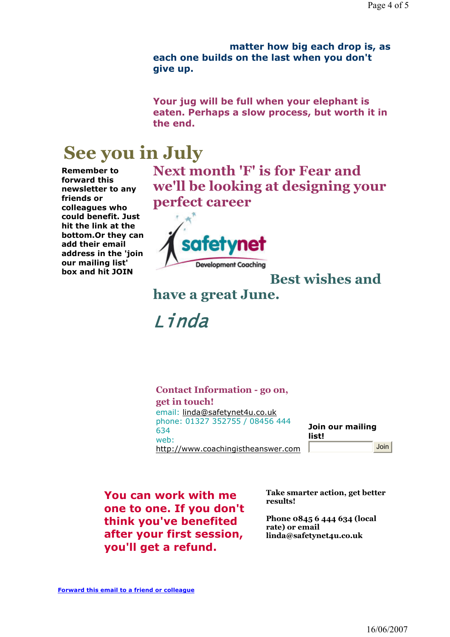matter how big each drop is, as each one builds on the last when you don't give up.

Your jug will be full when your elephant is eaten. Perhaps a slow process, but worth it in the end.

# See you in July

Remember to forward this newsletter to any friends or colleagues who could benefit. Just hit the link at the bottom.Or they can add their email address in the 'join our mailing list' box and hit JOIN

Next month 'F' is for Fear and we'll be looking at designing your perfect career



## Best wishes and

have a great June.

Linda

Contact Information - go on, get in touch! email: linda@safetynet4u.co.uk phone: 01327 352755 / 08456 444 634 web: http://www.coachingistheanswer.com Join our mailing list! Join

You can work with me one to one. If you don't think you've benefited after your first session, you'll get a refund.

Take smarter action, get better results!

Phone 0845 6 444 634 (local rate) or email linda@safetynet4u.co.uk